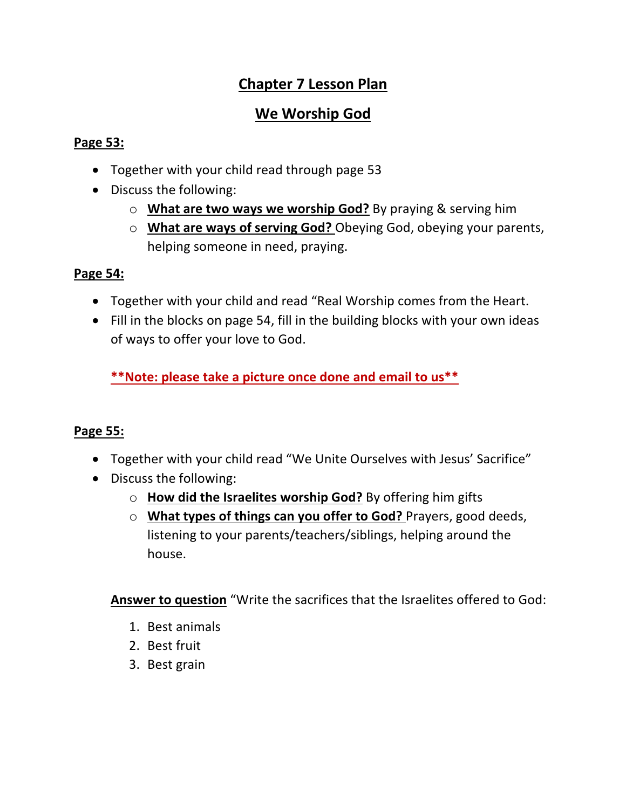# **Chapter 7 Lesson Plan**

# **We Worship God**

### **Page 53:**

- Together with your child read through page 53
- Discuss the following:
	- o **What are two ways we worship God?** By praying & serving him
	- o **What are ways of serving God?** Obeying God, obeying your parents, helping someone in need, praying.

# **Page 54:**

- Together with your child and read "Real Worship comes from the Heart.
- Fill in the blocks on page 54, fill in the building blocks with your own ideas of ways to offer your love to God.

**\*\*Note: please take a picture once done and email to us\*\***

# **Page 55:**

- Together with your child read "We Unite Ourselves with Jesus' Sacrifice"
- Discuss the following:
	- o **How did the Israelites worship God?** By offering him gifts
	- o **What types of things can you offer to God?** Prayers, good deeds, listening to your parents/teachers/siblings, helping around the house.

**Answer to question** "Write the sacrifices that the Israelites offered to God:

- 1. Best animals
- 2. Best fruit
- 3. Best grain